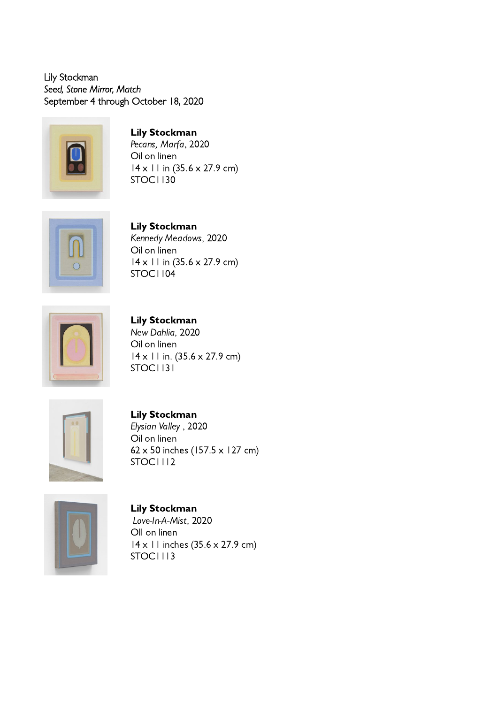Lily Stockman *Seed, Stone Mirror, Match* September 4 through October 18, 2020



Lily Stockman Pecans, Marfa, 2020 Oil on linen 14 x 11 in (35.6 x 27.9 cm) STOC1130



Lily Stockman Kennedy Meadows, 2020 Oil on linen 14 x 11 in (35.6 x 27.9 cm) STOC1104



Lily Stockman New Dahlia, 2020 Oil on linen 14 x 11 in. (35.6 x 27.9 cm) STOC1131



Lily Stockman Elysian Valley , 2020 Oil on linen 62 x 50 inches (157.5 x 127 cm) STOC1112



Lily Stockman Love-In-A-Mist, 2020 OIl on linen 14 x 11 inches (35.6 x 27.9 cm) STOC1113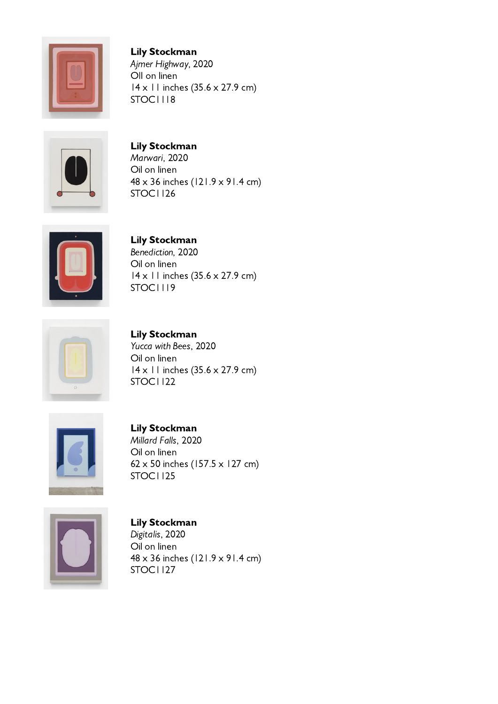

Lily Stockman Ajmer Highway, 2020 OIl on linen 14 x 11 inches (35.6 x 27.9 cm) STOC1118



Lily Stockman Marwari, 2020 Oil on linen 48 x 36 inches (121.9 x 91.4 cm) STOC1126



## Lily Stockman

Benediction, 2020 Oil on linen 14 x 11 inches (35.6 x 27.9 cm) STOC1119



Lily Stockman Yucca with Bees, 2020 Oil on linen 14 x 11 inches (35.6 x 27.9 cm) STOC1122



Lily Stockman Millard Falls, 2020 Oil on linen 62 x 50 inches (157.5 x 127 cm) STOC1125



Lily Stockman Digitalis, 2020 Oil on linen 48 x 36 inches (121.9 x 91.4 cm) STOC1127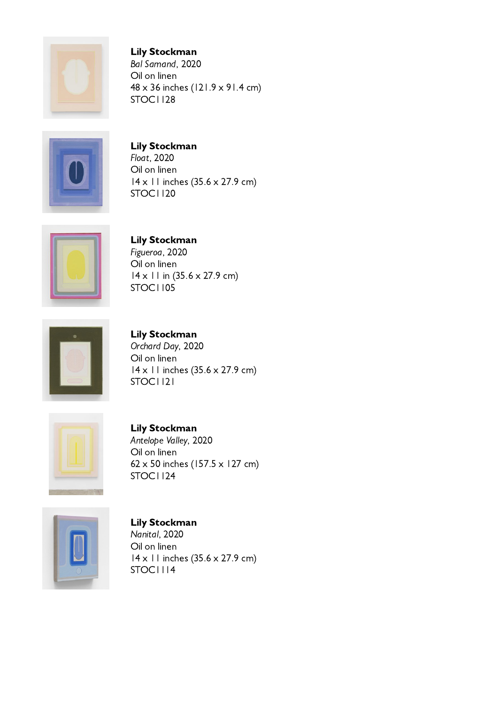

Lily Stockman Bal Samand, 2020 Oil on linen 48 x 36 inches (121.9 x 91.4 cm) STOC1128



Lily Stockman Float, 2020 Oil on linen 14 x 11 inches (35.6 x 27.9 cm) STOC1120



Lily Stockman

STOC1121

Figueroa, 2020 Oil on linen 14 x 11 in (35.6 x 27.9 cm) STOC1105



Lily Stockman Orchard Day, 2020 Oil on linen 14 x 11 inches (35.6 x 27.9 cm)



Lily Stockman Antelope Valley, 2020 Oil on linen 62 x 50 inches (157.5 x 127 cm) STOC1124



Lily Stockman Nanital, 2020 Oil on linen 14 x 11 inches (35.6 x 27.9 cm) STOC1114